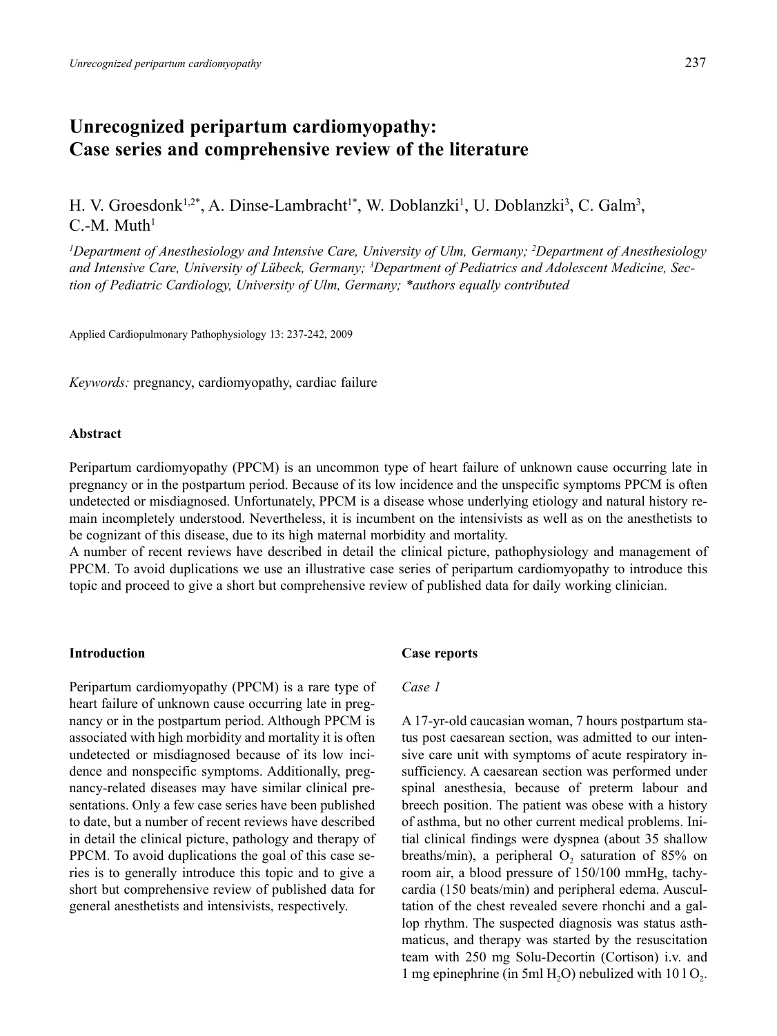# **Unrecognized peripartum cardiomyopathy: Case series and comprehensive review of the literature**

H. V. Groesdonk<sup>1,2\*</sup>, A. Dinse-Lambracht<sup>1\*</sup>, W. Doblanzki<sup>1</sup>, U. Doblanzki<sup>3</sup>, C. Galm<sup>3</sup>,  $C-M$  Muth<sup>1</sup>

*1 Department of Anesthesiology and Intensive Care, University of Ulm, Germany; 2 Department of Anesthesiology and Intensive Care, University of Lübeck, Germany; 3 Department of Pediatrics and Adolescent Medicine, Section of Pediatric Cardiology, University of Ulm, Germany; \*authors equally contributed*

Applied Cardiopulmonary Pathophysiology 13: 237-242, 2009

*Keywords:* pregnancy, cardiomyopathy, cardiac failure

## **Abstract**

Peripartum cardiomyopathy (PPCM) is an uncommon type of heart failure of unknown cause occurring late in pregnancy or in the postpartum period. Because of its low incidence and the unspecific symptoms PPCM is often undetected or misdiagnosed. Unfortunately, PPCM is a disease whose underlying etiology and natural history remain incompletely understood. Nevertheless, it is incumbent on the intensivists as well as on the anesthetists to be cognizant of this disease, due to its high maternal morbidity and mortality.

A number of recent reviews have described in detail the clinical picture, pathophysiology and management of PPCM. To avoid duplications we use an illustrative case series of peripartum cardiomyopathy to introduce this topic and proceed to give a short but comprehensive review of published data for daily working clinician.

# **Introduction**

Peripartum cardiomyopathy (PPCM) is a rare type of heart failure of unknown cause occurring late in pregnancy or in the postpartum period. Although PPCM is associated with high morbidity and mortality it is often undetected or misdiagnosed because of its low incidence and nonspecific symptoms. Additionally, pregnancy-related diseases may have similar clinical presentations. Only a few case series have been published to date, but a number of recent reviews have described in detail the clinical picture, pathology and therapy of PPCM. To avoid duplications the goal of this case series is to generally introduce this topic and to give a short but comprehensive review of published data for general anesthetists and intensivists, respectively.

#### **Case reports**

#### *Case 1*

A 17-yr-old caucasian woman, 7 hours postpartum status post caesarean section, was admitted to our intensive care unit with symptoms of acute respiratory insufficiency. A caesarean section was performed under spinal anesthesia, because of preterm labour and breech position. The patient was obese with a history of asthma, but no other current medical problems. Initial clinical findings were dyspnea (about 35 shallow breaths/min), a peripheral  $O_2$  saturation of 85% on room air, a blood pressure of 150/100 mmHg, tachycardia (150 beats/min) and peripheral edema. Auscultation of the chest revealed severe rhonchi and a gallop rhythm. The suspected diagnosis was status asthmaticus, and therapy was started by the resuscitation team with 250 mg Solu-Decortin (Cortison) i.v. and 1 mg epinephrine (in 5ml  $H_2O$ ) nebulized with 10 l  $O_2$ .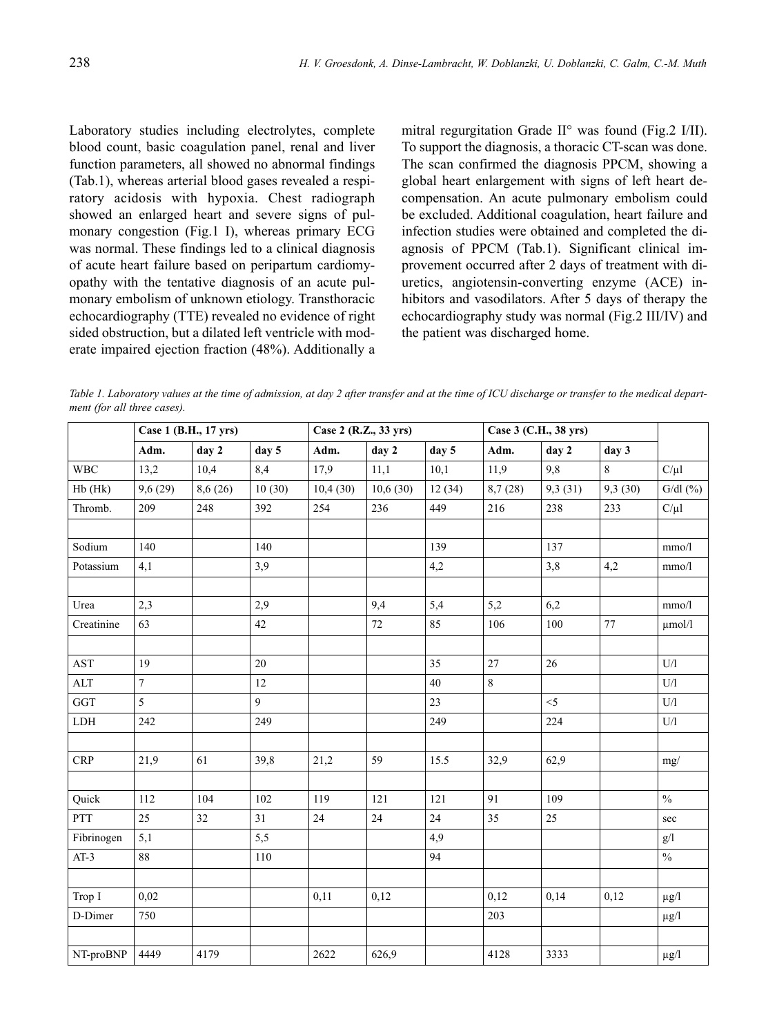Laboratory studies including electrolytes, complete blood count, basic coagulation panel, renal and liver function parameters, all showed no abnormal findings (Tab.1), whereas arterial blood gases revealed a respiratory acidosis with hypoxia. Chest radiograph showed an enlarged heart and severe signs of pulmonary congestion (Fig.1 I), whereas primary ECG was normal. These findings led to a clinical diagnosis of acute heart failure based on peripartum cardiomyopathy with the tentative diagnosis of an acute pulmonary embolism of unknown etiology. Transthoracic echocardiography (TTE) revealed no evidence of right sided obstruction, but a dilated left ventricle with moderate impaired ejection fraction (48%). Additionally a mitral regurgitation Grade II° was found (Fig.2 I/II). To support the diagnosis, a thoracic CT-scan was done. The scan confirmed the diagnosis PPCM, showing a global heart enlargement with signs of left heart decompensation. An acute pulmonary embolism could be excluded. Additional coagulation, heart failure and infection studies were obtained and completed the diagnosis of PPCM (Tab.1). Significant clinical improvement occurred after 2 days of treatment with diuretics, angiotensin-converting enzyme (ACE) inhibitors and vasodilators. After 5 days of therapy the echocardiography study was normal (Fig.2 III/IV) and the patient was discharged home.

*Table 1. Laboratory values at the time of admission, at day 2 after transfer and at the time of ICU discharge or transfer to the medical department (for all three cases).*

|                      | Case 1 (B.H., 17 yrs) |          |        | Case 2 (R.Z., 33 yrs) |          |        | Case 3 (C.H., 38 yrs) |         |         |                         |
|----------------------|-----------------------|----------|--------|-----------------------|----------|--------|-----------------------|---------|---------|-------------------------|
|                      | Adm.                  | day 2    | day 5  | Adm.                  | day 2    | day 5  | Adm.                  | day 2   | day 3   |                         |
| <b>WBC</b>           | 13,2                  | 10,4     | 8,4    | 17,9                  | 11,1     | 10,1   | 11,9                  | 9,8     | 8       | $C/\mu l$               |
| Hb (Hk)              | 9,6(29)               | 8,6 (26) | 10(30) | 10,4(30)              | 10,6(30) | 12(34) | 8,7(28)               | 9,3(31) | 9,3(30) | $G/dl$ $(\%)$           |
| Thromb.              | 209                   | 248      | 392    | 254                   | 236      | 449    | 216                   | 238     | 233     | $C/\mu l$               |
|                      |                       |          |        |                       |          |        |                       |         |         |                         |
| Sodium               | 140                   |          | 140    |                       |          | 139    |                       | 137     |         | mmo/l                   |
| Potassium            | 4,1                   |          | 3,9    |                       |          | 4,2    |                       | 3,8     | 4,2     | mmo/l                   |
|                      |                       |          |        |                       |          |        |                       |         |         |                         |
| Urea                 | 2,3                   |          | 2,9    |                       | 9,4      | 5,4    | 5,2                   | 6,2     |         | mmo/l                   |
| Creatinine           | 63                    |          | 42     |                       | 72       | 85     | 106                   | 100     | 77      | $\mu$ mol/l             |
|                      |                       |          |        |                       |          |        |                       |         |         |                         |
| $\operatorname{AST}$ | 19                    |          | 20     |                       |          | 35     | 27                    | 26      |         | $\mathbf{U}/\mathbf{l}$ |
| $\mathbf{ALT}$       | $\tau$                |          | 12     |                       |          | 40     | $\,8\,$               |         |         | U/I                     |
| GGT                  | 5                     |          | 9      |                       |          | 23     |                       | $<$ 5   |         | U/I                     |
| LDH                  | 242                   |          | 249    |                       |          | 249    |                       | 224     |         | U/I                     |
|                      |                       |          |        |                       |          |        |                       |         |         |                         |
| <b>CRP</b>           | 21,9                  | 61       | 39,8   | 21,2                  | 59       | 15.5   | 32,9                  | 62,9    |         | mg/                     |
|                      |                       |          |        |                       |          |        |                       |         |         |                         |
| Quick                | 112                   | 104      | 102    | 119                   | 121      | 121    | 91                    | 109     |         | $\frac{0}{0}$           |
| <b>PTT</b>           | 25                    | 32       | 31     | 24                    | 24       | 24     | 35                    | 25      |         | sec                     |
| Fibrinogen           | 5,1                   |          | 5,5    |                       |          | 4,9    |                       |         |         | g/l                     |
| $AT-3$               | 88                    |          | 110    |                       |          | 94     |                       |         |         | $\%$                    |
|                      |                       |          |        |                       |          |        |                       |         |         |                         |
| Trop I               | 0,02                  |          |        | 0,11                  | 0,12     |        | 0,12                  | 0,14    | 0,12    | $\mu g/l$               |
| D-Dimer              | 750                   |          |        |                       |          |        | 203                   |         |         | $\mu$ g/l               |
|                      |                       |          |        |                       |          |        |                       |         |         |                         |
| NT-proBNP            | 4449                  | 4179     |        | 2622                  | 626,9    |        | 4128                  | 3333    |         | $\mu g/l$               |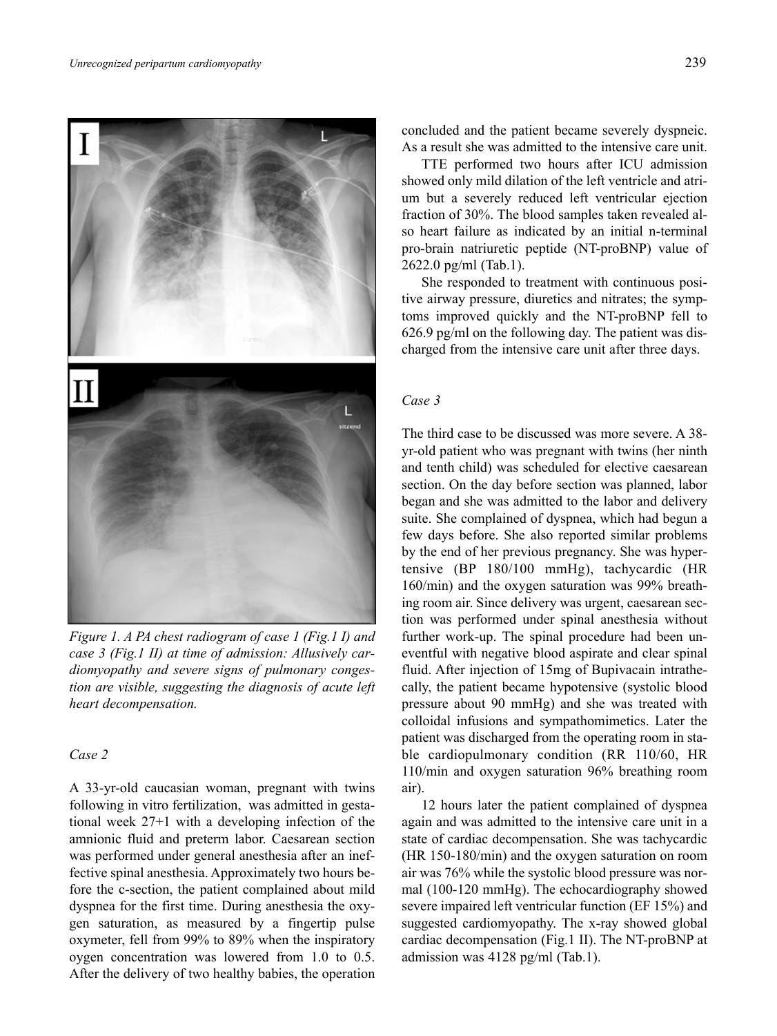

*Figure 1. A PA chest radiogram of case 1 (Fig.1 I) and case 3 (Fig.1 II) at time of admission: Allusively cardiomyopathy and severe signs of pulmonary congestion are visible, suggesting the diagnosis of acute left heart decompensation.*

## *Case 2*

A 33-yr-old caucasian woman, pregnant with twins following in vitro fertilization, was admitted in gestational week 27+1 with a developing infection of the amnionic fluid and preterm labor. Caesarean section was performed under general anesthesia after an ineffective spinal anesthesia. Approximately two hours before the c-section, the patient complained about mild dyspnea for the first time. During anesthesia the oxygen saturation, as measured by a fingertip pulse oxymeter, fell from 99% to 89% when the inspiratory oygen concentration was lowered from 1.0 to 0.5. After the delivery of two healthy babies, the operation

concluded and the patient became severely dyspneic. As a result she was admitted to the intensive care unit.

TTE performed two hours after ICU admission showed only mild dilation of the left ventricle and atrium but a severely reduced left ventricular ejection fraction of 30%. The blood samples taken revealed also heart failure as indicated by an initial n-terminal pro-brain natriuretic peptide (NT-proBNP) value of 2622.0 pg/ml (Tab.1).

She responded to treatment with continuous positive airway pressure, diuretics and nitrates; the symptoms improved quickly and the NT-proBNP fell to 626.9 pg/ml on the following day. The patient was discharged from the intensive care unit after three days.

# *Case 3*

The third case to be discussed was more severe. A 38 yr-old patient who was pregnant with twins (her ninth and tenth child) was scheduled for elective caesarean section. On the day before section was planned, labor began and she was admitted to the labor and delivery suite. She complained of dyspnea, which had begun a few days before. She also reported similar problems by the end of her previous pregnancy. She was hypertensive (BP 180/100 mmHg), tachycardic (HR 160/min) and the oxygen saturation was 99% breathing room air. Since delivery was urgent, caesarean section was performed under spinal anesthesia without further work-up. The spinal procedure had been uneventful with negative blood aspirate and clear spinal fluid. After injection of 15mg of Bupivacain intrathecally, the patient became hypotensive (systolic blood pressure about 90 mmHg) and she was treated with colloidal infusions and sympathomimetics. Later the patient was discharged from the operating room in stable cardiopulmonary condition (RR 110/60, HR 110/min and oxygen saturation 96% breathing room air).

12 hours later the patient complained of dyspnea again and was admitted to the intensive care unit in a state of cardiac decompensation. She was tachycardic (HR 150-180/min) and the oxygen saturation on room air was 76% while the systolic blood pressure was normal (100-120 mmHg). The echocardiography showed severe impaired left ventricular function (EF 15%) and suggested cardiomyopathy. The x-ray showed global cardiac decompensation (Fig.1 II). The NT-proBNP at admission was 4128 pg/ml (Tab.1).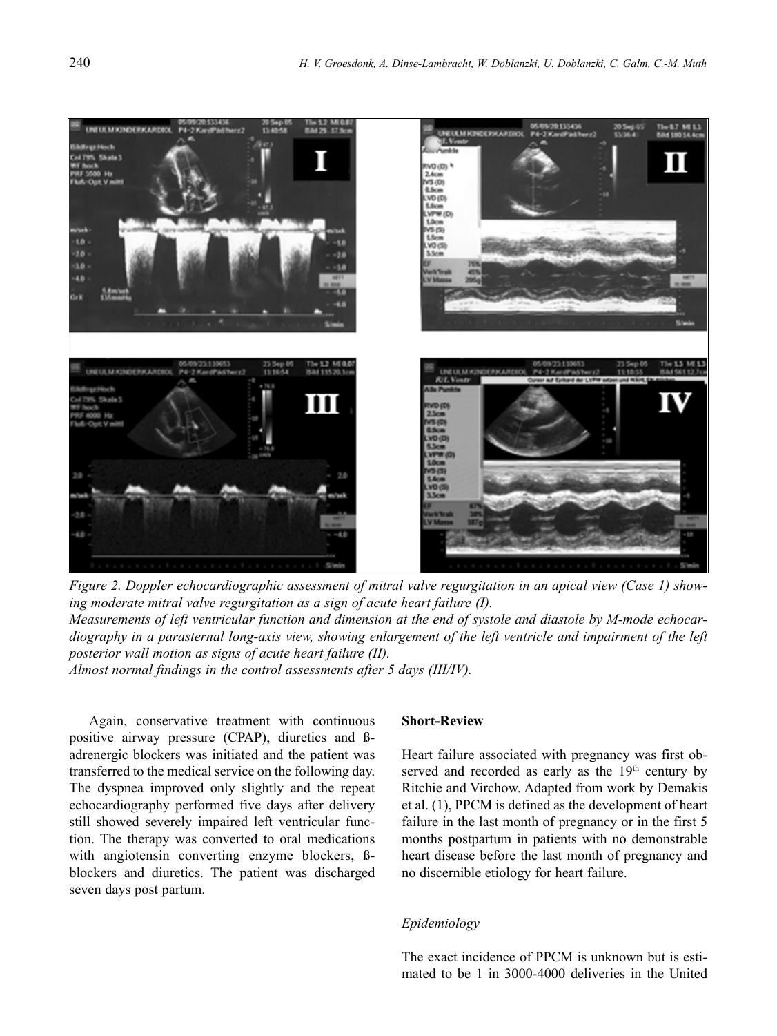

*Figure 2. Doppler echocardiographic assessment of mitral valve regurgitation in an apical view (Case 1) showing moderate mitral valve regurgitation as a sign of acute heart failure (I). Measurements of left ventricular function and dimension at the end of systole and diastole by M-mode echocardiography in a parasternal long-axis view, showing enlargement of the left ventricle and impairment of the left posterior wall motion as signs of acute heart failure (II). Almost normal findings in the control assessments after 5 days (III/IV).*

Again, conservative treatment with continuous positive airway pressure (CPAP), diuretics and ßadrenergic blockers was initiated and the patient was transferred to the medical service on the following day. The dyspnea improved only slightly and the repeat echocardiography performed five days after delivery still showed severely impaired left ventricular function. The therapy was converted to oral medications with angiotensin converting enzyme blockers, Bblockers and diuretics. The patient was discharged seven days post partum.

#### **Short-Review**

Heart failure associated with pregnancy was first observed and recorded as early as the 19<sup>th</sup> century by Ritchie and Virchow. Adapted from work by Demakis et al. (1), PPCM is defined as the development of heart failure in the last month of pregnancy or in the first 5 months postpartum in patients with no demonstrable heart disease before the last month of pregnancy and no discernible etiology for heart failure.

#### *Epidemiology*

The exact incidence of PPCM is unknown but is estimated to be 1 in 3000-4000 deliveries in the United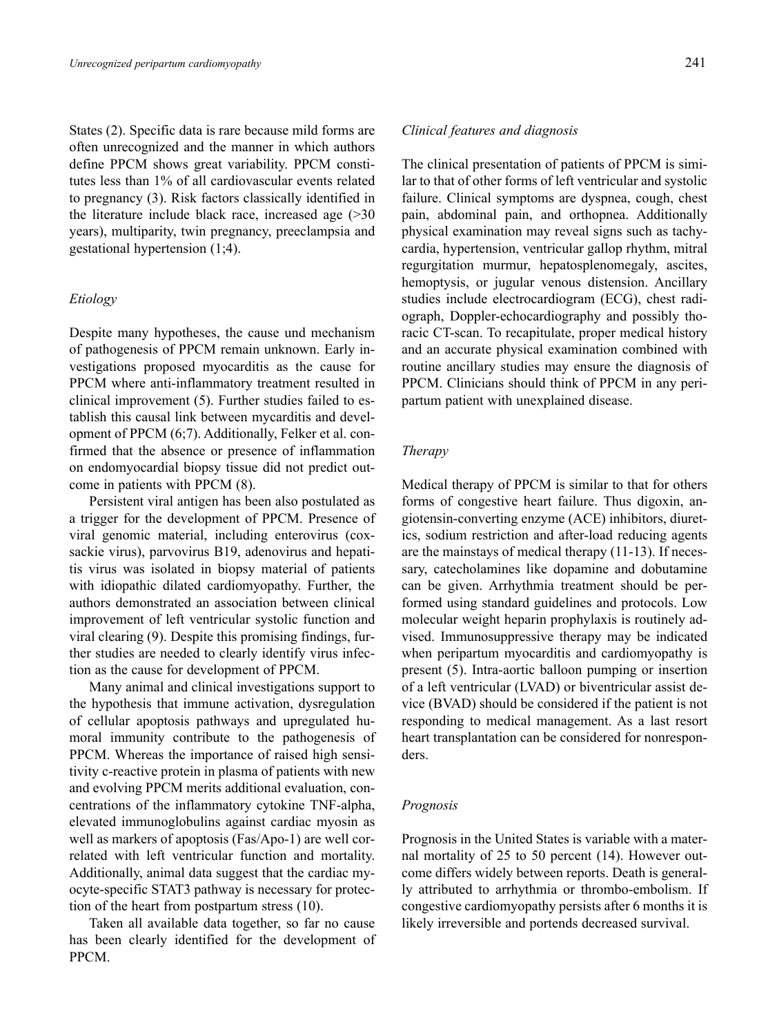States (2). Specific data is rare because mild forms are often unrecognized and the manner in which authors define PPCM shows great variability. PPCM constitutes less than 1% of all cardiovascular events related to pregnancy (3). Risk factors classically identified in the literature include black race, increased age (>30 years), multiparity, twin pregnancy, preeclampsia and gestational hypertension (1;4).

#### *Etiology*

Despite many hypotheses, the cause und mechanism of pathogenesis of PPCM remain unknown. Early investigations proposed myocarditis as the cause for PPCM where anti-inflammatory treatment resulted in clinical improvement (5). Further studies failed to establish this causal link between mycarditis and development of PPCM (6;7). Additionally, Felker et al. confirmed that the absence or presence of inflammation on endomyocardial biopsy tissue did not predict outcome in patients with PPCM (8).

Persistent viral antigen has been also postulated as a trigger for the development of PPCM. Presence of viral genomic material, including enterovirus (coxsackie virus), parvovirus B19, adenovirus and hepatitis virus was isolated in biopsy material of patients with idiopathic dilated cardiomyopathy. Further, the authors demonstrated an association between clinical improvement of left ventricular systolic function and viral clearing (9). Despite this promising findings, further studies are needed to clearly identify virus infection as the cause for development of PPCM.

Many animal and clinical investigations support to the hypothesis that immune activation, dysregulation of cellular apoptosis pathways and upregulated humoral immunity contribute to the pathogenesis of PPCM. Whereas the importance of raised high sensitivity c-reactive protein in plasma of patients with new and evolving PPCM merits additional evaluation, concentrations of the inflammatory cytokine TNF-alpha, elevated immunoglobulins against cardiac myosin as well as markers of apoptosis (Fas/Apo-1) are well correlated with left ventricular function and mortality. Additionally, animal data suggest that the cardiac myocyte-specific STAT3 pathway is necessary for protection of the heart from postpartum stress (10).

Taken all available data together, so far no cause has been clearly identified for the development of PPCM.

# *Clinical features and diagnosis*

The clinical presentation of patients of PPCM is similar to that of other forms of left ventricular and systolic failure. Clinical symptoms are dyspnea, cough, chest pain, abdominal pain, and orthopnea. Additionally physical examination may reveal signs such as tachycardia, hypertension, ventricular gallop rhythm, mitral regurgitation murmur, hepatosplenomegaly, ascites, hemoptysis, or jugular venous distension. Ancillary studies include electrocardiogram (ECG), chest radiograph, Doppler-echocardiography and possibly thoracic CT-scan. To recapitulate, proper medical history and an accurate physical examination combined with routine ancillary studies may ensure the diagnosis of PPCM. Clinicians should think of PPCM in any peripartum patient with unexplained disease.

#### *Therapy*

Medical therapy of PPCM is similar to that for others forms of congestive heart failure. Thus digoxin, angiotensin-converting enzyme (ACE) inhibitors, diuretics, sodium restriction and after-load reducing agents are the mainstays of medical therapy (11-13). If necessary, catecholamines like dopamine and dobutamine can be given. Arrhythmia treatment should be performed using standard guidelines and protocols. Low molecular weight heparin prophylaxis is routinely advised. Immunosuppressive therapy may be indicated when peripartum myocarditis and cardiomyopathy is present (5). Intra-aortic balloon pumping or insertion of a left ventricular (LVAD) or biventricular assist device (BVAD) should be considered if the patient is not responding to medical management. As a last resort heart transplantation can be considered for nonresponders.

## *Prognosis*

Prognosis in the United States is variable with a maternal mortality of 25 to 50 percent (14). However outcome differs widely between reports. Death is generally attributed to arrhythmia or thrombo-embolism. If congestive cardiomyopathy persists after 6 months it is likely irreversible and portends decreased survival.